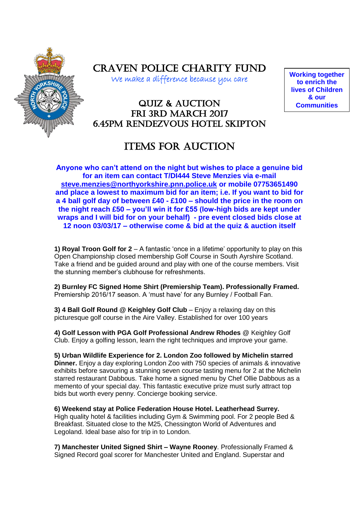

Craven Police Charity Fund

We make a difference because you care

**Working together to enrich the lives of Children & our Communities**

# Quiz & Auction FRI 3RD MARCH 2017 6.45pm Rendezvous Hotel Skipton

# **ITEMS FOR AUCTION**

**Anyone who can't attend on the night but wishes to place a genuine bid for an item can contact T/DI444 Steve Menzies via e-mail [steve.menzies@northyorkshire.pnn.police.uk](mailto:steve.menzies@northyorkshire.pnn.police.uk) or mobile 07753651490 and place a lowest to maximum bid for an item; i.e. If you want to bid for a 4 ball golf day of between £40 - £100 – should the price in the room on the night reach £50 – you'll win it for £55 (low-high bids are kept under wraps and I will bid for on your behalf) - pre event closed bids close at 12 noon 03/03/17 – otherwise come & bid at the quiz & auction itself** 

**1) Royal Troon Golf for 2** – A fantastic 'once in a lifetime' opportunity to play on this Open Championship closed membership Golf Course in South Ayrshire Scotland. Take a friend and be guided around and play with one of the course members. Visit the stunning member's clubhouse for refreshments.

**2) Burnley FC Signed Home Shirt (Premiership Team). Professionally Framed.** Premiership 2016/17 season. A 'must have' for any Burnley / Football Fan.

**3) 4 Ball Golf Round @ Keighley Golf Club** – Enjoy a relaxing day on this picturesque golf course in the Aire Valley. Established for over 100 years

**4) Golf Lesson with PGA Golf Professional Andrew Rhodes** @ Keighley Golf Club. Enjoy a golfing lesson, learn the right techniques and improve your game.

**5) Urban Wildlife Experience for 2. London Zoo followed by Michelin starred Dinner.** Enjoy a day exploring London Zoo with 750 species of animals & innovative exhibits before savouring a stunning seven course tasting menu for 2 at the Michelin starred restaurant Dabbous. Take home a signed menu by Chef Ollie Dabbous as a memento of your special day. This fantastic executive prize must surly attract top bids but worth every penny. Concierge booking service.

**6) Weekend stay at Police Federation House Hotel. Leatherhead Surrey.** High quality hotel & facilities including Gym & Swimming pool. For 2 people Bed & Breakfast. Situated close to the M25, Chessington World of Adventures and Legoland. Ideal base also for trip in to London.

**7) Manchester United Signed Shirt – Wayne Rooney**. Professionally Framed & Signed Record goal scorer for Manchester United and England. Superstar and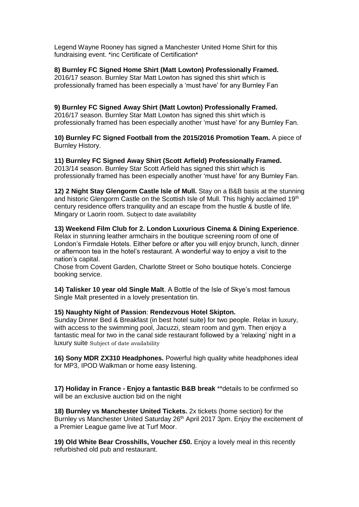Legend Wayne Rooney has signed a Manchester United Home Shirt for this fundraising event. \*inc Certificate of Certification\*

# **8) Burnley FC Signed Home Shirt (Matt Lowton) Professionally Framed.**

2016/17 season. Burnley Star Matt Lowton has signed this shirt which is professionally framed has been especially a 'must have' for any Burnley Fan

# **9) Burnley FC Signed Away Shirt (Matt Lowton) Professionally Framed.**

2016/17 season. Burnley Star Matt Lowton has signed this shirt which is professionally framed has been especially another 'must have' for any Burnley Fan.

**10) Burnley FC Signed Football from the 2015/2016 Promotion Team.** A piece of Burnley History.

#### **11) Burnley FC Signed Away Shirt (Scott Arfield) Professionally Framed.**

2013/14 season. Burnley Star Scott Arfield has signed this shirt which is professionally framed has been especially another 'must have' for any Burnley Fan.

**12) 2 Night Stay Glengorm Castle Isle of Mull.** Stay on a B&B basis at the stunning and historic Glengorm Castle on the Scottish Isle of Mull. This highly acclaimed 19<sup>th</sup> century residence offers tranquility and an escape from the hustle & bustle of life. Mingary or Laorin room. Subject to date availability

## **13) Weekend Film Club for 2. London Luxurious Cinema & Dining Experience**.

Relax in stunning leather armchairs in the boutique screening room of one of London's Firmdale Hotels. Either before or after you will enjoy brunch, lunch, dinner or afternoon tea in the hotel's restaurant. A wonderful way to enjoy a visit to the nation's capital.

Chose from Covent Garden, Charlotte Street or Soho boutique hotels. Concierge booking service.

**14) Talisker 10 year old Single Malt**. A Bottle of the Isle of Skye's most famous Single Malt presented in a lovely presentation tin.

#### **15) Naughty Night of Passion**: **Rendezvous Hotel Skipton.**

Sunday Dinner Bed & Breakfast (in best hotel suite) for two people. Relax in luxury, with access to the swimming pool, Jacuzzi, steam room and gym. Then enjoy a fantastic meal for two in the canal side restaurant followed by a 'relaxing' night in a luxury suite Subject of date availability

**16) Sony MDR ZX310 Headphones.** Powerful high quality white headphones ideal for MP3, IPOD Walkman or home easy listening.

**17) Holiday in France - Enjoy a fantastic B&B break** \*\*details to be confirmed so will be an exclusive auction bid on the night

**18) Burnley vs Manchester United Tickets.** 2x tickets (home section) for the Burnley vs Manchester United Saturday 26<sup>th</sup> April 2017 3pm. Enjoy the excitement of a Premier League game live at Turf Moor.

**19) Old White Bear Crosshills, Voucher £50.** Enjoy a lovely meal in this recently refurbished old pub and restaurant.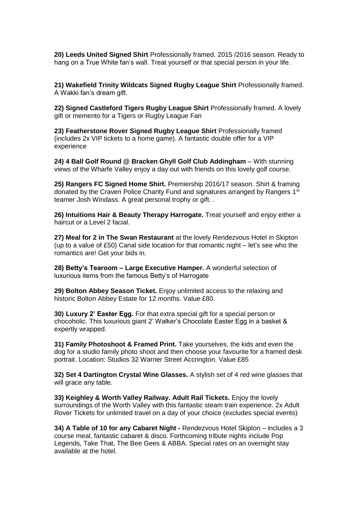**20) Leeds United Signed Shirt** Professionally framed. 2015 /2016 season. Ready to hang on a True White fan's wall. Treat yourself or that special person in your life.

**21) Wakefield Trinity Wildcats Signed Rugby League Shirt** Professionally framed. A Wakki fan's dream gift.

**22) Signed Castleford Tigers Rugby League Shirt** Professionally framed. A lovely gift or memento for a Tigers or Rugby League Fan

**23) Featherstone Rover Signed Rugby League Shirt** Professionally framed (includes 2x VIP tickets to a home game). A fantastic double offer for a VIP experience

**24) 4 Ball Golf Round @ Bracken Ghyll Golf Club Addingham** – With stunning views of the Wharfe Valley enjoy a day out with friends on this lovely golf course.

**25) Rangers FC Signed Home Shirt.** Premiership 2016/17 season. Shirt & framing donated by the Craven Police Charity Fund and signatures arranged by Rangers 1<sup>st</sup> teamer Josh Windass. A great personal trophy or gift. .

**26) Intuitions Hair & Beauty Therapy Harrogate.** Treat yourself and enjoy either a haircut or a Level 2 facial.

**27) Meal for 2 in The Swan Restaurant** at the lovely Rendezvous Hotel in Skipton (up to a value of £50) Canal side location for that romantic night – let's see who the romantics are! Get your bids in.

**28) Betty's Tearoom – Large Executive Hamper.** A wonderful selection of luxurious items from the famous Betty's of Harrogate

**29) Bolton Abbey Season Ticket.** Enjoy unlimited access to the relaxing and historic Bolton Abbey Estate for 12 months. Value £80.

**30) Luxury 2' Easter Egg.** For that extra special gift for a special person or chocoholic. This luxurious giant 2' Walker's Chocolate Easter Egg in a basket & expertly wrapped.

**31) Family Photoshoot & Framed Print.** Take yourselves, the kids and even the dog for a studio family photo shoot and then choose your favourite for a framed desk portrait. Location: Studios 32 Warner Street Accrington. Value £85

**32) Set 4 Dartington Crystal Wine Glasses.** A stylish set of 4 red wine glasses that will grace any table.

**33) Keighley & Worth Valley Railway. Adult Rail Tickets.** Enjoy the lovely surroundings of the Worth Valley with this fantastic steam train experience. 2x Adult Rover Tickets for unlimited travel on a day of your choice (excludes special events)

**34) A Table of 10 for any Cabaret Night -** Rendezvous Hotel Skipton – includes a 3 course meal, fantastic cabaret & disco. Forthcoming tribute nights include Pop Legends, Take That, The Bee Gees & ABBA. Special rates on an overnight stay available at the hotel.